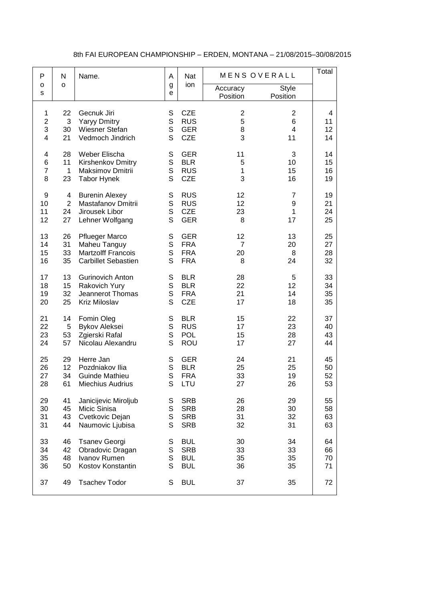## 8th FAI EUROPEAN CHAMPIONSHIP – ERDEN, MONTANA – 21/08/2015–30/08/2015

| P                | N              | Name.                      | A           | Nat        | MENS OVERALL            |                          | Total |
|------------------|----------------|----------------------------|-------------|------------|-------------------------|--------------------------|-------|
| o<br>$\mathbf S$ | O              |                            | g<br>e      | ion        | Accuracy<br>Position    | <b>Style</b><br>Position |       |
| 1                | 22             | Gecnuk Jiri                | S           | <b>CZE</b> | $\overline{\mathbf{c}}$ | $\overline{2}$           | 4     |
| $\overline{2}$   | 3              | <b>Yaryy Dmitry</b>        | $\mathsf S$ | <b>RUS</b> | 5                       | 6                        | 11    |
| 3                | 30             | Wiesner Stefan             | $\mathbf S$ | <b>GER</b> | 8                       | $\overline{4}$           | 12    |
| $\overline{4}$   | 21             | Vedmoch Jindrich           | S           | <b>CZE</b> | 3                       | 11                       | 14    |
| 4                | 28             | Weber Elischa              | $\mathbb S$ | <b>GER</b> | 11                      | 3                        | 14    |
| $\,6$            | 11             | Kirshenkov Dmitry          | $\mathbb S$ | <b>BLR</b> | 5                       | 10                       | 15    |
| $\overline{7}$   | $\mathbf{1}$   | Maksimov Dmitrii           | $\mathsf S$ | <b>RUS</b> | 1                       | 15                       | 16    |
| 8                | 23             | <b>Tabor Hynek</b>         | S           | <b>CZE</b> | 3                       | 16                       | 19    |
| 9                | 4              | <b>Burenin Alexey</b>      | S           | <b>RUS</b> | 12                      | $\overline{7}$           | 19    |
| 10               | $\overline{2}$ | Mastafanov Dmitrii         | $\mathsf S$ | <b>RUS</b> | 12                      | 9                        | 21    |
| 11               | 24             | Jirousek Libor             | S           | <b>CZE</b> | 23                      | 1                        | 24    |
| 12               | 27             | Lehner Wolfgang            | S           | <b>GER</b> | 8                       | 17                       | 25    |
| 13               | 26             | <b>Pflueger Marco</b>      | S           | <b>GER</b> | 12                      | 13                       | 25    |
| 14               | 31             | Maheu Tanguy               | $\mathsf S$ | <b>FRA</b> | $\overline{7}$          | 20                       | 27    |
| 15               | 33             | <b>Martzolff Francois</b>  | S           | <b>FRA</b> | 20                      | 8                        | 28    |
| 16               | 35             | <b>Carbillet Sebastien</b> | S           | <b>FRA</b> | 8                       | 24                       | 32    |
| 17               | 13             | <b>Gurinovich Anton</b>    | $\mathbb S$ | <b>BLR</b> | 28                      | 5                        | 33    |
| 18               | 15             | Rakovich Yury              | $\mathbb S$ | <b>BLR</b> | 22                      | 12                       | 34    |
| 19               | 32             | Jeannerot Thomas           | S           | <b>FRA</b> | 21                      | 14                       | 35    |
| 20               | 25             | Kriz Miloslav              | S           | <b>CZE</b> | 17                      | 18                       | 35    |
| 21               | 14             | Fomin Oleg                 | S           | <b>BLR</b> | 15                      | 22                       | 37    |
| 22               | 5              | <b>Bykov Aleksei</b>       | $\mathbb S$ | <b>RUS</b> | 17                      | 23                       | 40    |
| 23               | 53             | Zgierski Rafal             | $\mathsf S$ | <b>POL</b> | 15                      | 28                       | 43    |
| 24               | 57             | Nicolau Alexandru          | S           | ROU        | 17                      | 27                       | 44    |
| 25               | 29             | Herre Jan                  | $\mathsf S$ | <b>GER</b> | 24                      | 21                       | 45    |
| 26               | 12             | Pozdniakov Ilia            | $\mathsf S$ | <b>BLR</b> | 25                      | 25                       | 50    |
| 27               | 34             | <b>Guinde Mathieu</b>      | S           | <b>FRA</b> | 33                      | 19                       | 52    |
| 28               | 61             | <b>Miechius Audrius</b>    | S           | LTU        | 27                      | 26                       | 53    |
| 29               | 41             | Janicijevic Miroljub       | S           | <b>SRB</b> | 26                      | 29                       | 55    |
| 30               | 45             | Micic Sinisa               | $\mathsf S$ | <b>SRB</b> | 28                      | 30                       | 58    |
| 31               | 43             | Cvetkovic Dejan            | S           | <b>SRB</b> | 31                      | 32                       | 63    |
| 31               | 44             | Naumovic Ljubisa           | S           | <b>SRB</b> | 32                      | 31                       | 63    |
| 33               | 46             | <b>Tsanev Georgi</b>       | $\mathbb S$ | <b>BUL</b> | 30                      | 34                       | 64    |
| 34               | 42             | Obradovic Dragan           | $\mathbb S$ | <b>SRB</b> | 33                      | 33                       | 66    |
| 35               | 48             | Ivanov Rumen               | $\mathsf S$ | <b>BUL</b> | 35                      | 35                       | 70    |
| 36               | 50             | Kostov Konstantin          | S           | <b>BUL</b> | 36                      | 35                       | 71    |
| 37               | 49             | <b>Tsachev Todor</b>       | S           | <b>BUL</b> | 37                      | 35                       | 72    |